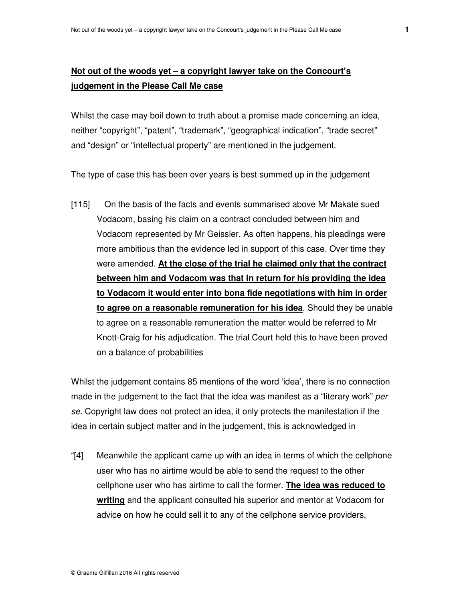## **Not out of the woods yet – a copyright lawyer take on the Concourt's judgement in the Please Call Me case**

Whilst the case may boil down to truth about a promise made concerning an idea, neither "copyright", "patent", "trademark", "geographical indication", "trade secret" and "design" or "intellectual property" are mentioned in the judgement.

The type of case this has been over years is best summed up in the judgement

[115] On the basis of the facts and events summarised above Mr Makate sued Vodacom, basing his claim on a contract concluded between him and Vodacom represented by Mr Geissler. As often happens, his pleadings were more ambitious than the evidence led in support of this case. Over time they were amended. **At the close of the trial he claimed only that the contract between him and Vodacom was that in return for his providing the idea to Vodacom it would enter into bona fide negotiations with him in order to agree on a reasonable remuneration for his idea**. Should they be unable to agree on a reasonable remuneration the matter would be referred to Mr Knott-Craig for his adjudication. The trial Court held this to have been proved on a balance of probabilities

Whilst the judgement contains 85 mentions of the word 'idea', there is no connection made in the judgement to the fact that the idea was manifest as a "literary work" per se. Copyright law does not protect an idea, it only protects the manifestation if the idea in certain subject matter and in the judgement, this is acknowledged in

"[4] Meanwhile the applicant came up with an idea in terms of which the cellphone user who has no airtime would be able to send the request to the other cellphone user who has airtime to call the former. **The idea was reduced to writing** and the applicant consulted his superior and mentor at Vodacom for advice on how he could sell it to any of the cellphone service providers,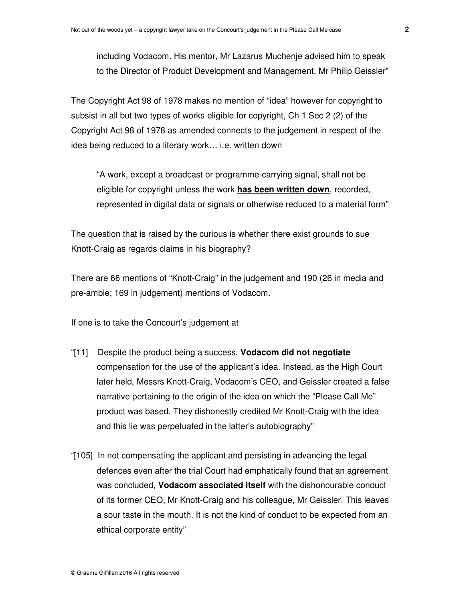including Vodacom. His mentor, Mr Lazarus Muchenje advised him to speak to the Director of Product Development and Management, Mr Philip Geissler"

The Copyright Act 98 of 1978 makes no mention of "idea" however for copyright to subsist in all but two types of works eligible for copyright, Ch 1 Sec 2 (2) of the Copyright Act 98 of 1978 as amended connects to the judgement in respect of the idea being reduced to a literary work… i.e. written down

"A work, except a broadcast or programme-carrying signal, shall not be eligible for copyright unless the work **has been written down**, recorded, represented in digital data or signals or otherwise reduced to a material form"

The question that is raised by the curious is whether there exist grounds to sue Knott-Craig as regards claims in his biography?

There are 66 mentions of "Knott-Craig" in the judgement and 190 (26 in media and pre-amble; 169 in judgement) mentions of Vodacom.

If one is to take the Concourt's judgement at

- "[11] Despite the product being a success, **Vodacom did not negotiate** compensation for the use of the applicant's idea. Instead, as the High Court later held, Messrs Knott-Craig, Vodacom's CEO, and Geissler created a false narrative pertaining to the origin of the idea on which the "Please Call Me" product was based. They dishonestly credited Mr Knott-Craig with the idea and this lie was perpetuated in the latter's autobiography"
- "[105] In not compensating the applicant and persisting in advancing the legal defences even after the trial Court had emphatically found that an agreement was concluded, **Vodacom associated itself** with the dishonourable conduct of its former CEO, Mr Knott-Craig and his colleague, Mr Geissler. This leaves a sour taste in the mouth. It is not the kind of conduct to be expected from an ethical corporate entity"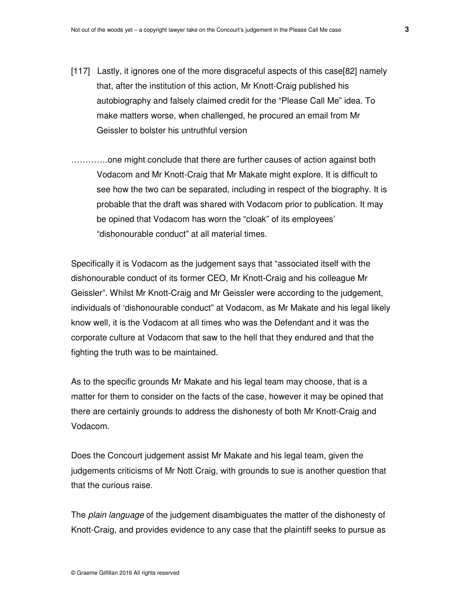- [117] Lastly, it ignores one of the more disgraceful aspects of this case[82] namely that, after the institution of this action, Mr Knott-Craig published his autobiography and falsely claimed credit for the "Please Call Me" idea. To make matters worse, when challenged, he procured an email from Mr Geissler to bolster his untruthful version
- ………….one might conclude that there are further causes of action against both Vodacom and Mr Knott-Craig that Mr Makate might explore. It is difficult to see how the two can be separated, including in respect of the biography. It is probable that the draft was shared with Vodacom prior to publication. It may be opined that Vodacom has worn the "cloak" of its employees' "dishonourable conduct" at all material times.

Specifically it is Vodacom as the judgement says that "associated itself with the dishonourable conduct of its former CEO, Mr Knott-Craig and his colleague Mr Geissler". Whilst Mr Knott-Craig and Mr Geissler were according to the judgement, individuals of 'dishonourable conduct" at Vodacom, as Mr Makate and his legal likely know well, it is the Vodacom at all times who was the Defendant and it was the corporate culture at Vodacom that saw to the hell that they endured and that the fighting the truth was to be maintained.

As to the specific grounds Mr Makate and his legal team may choose, that is a matter for them to consider on the facts of the case, however it may be opined that there are certainly grounds to address the dishonesty of both Mr Knott-Craig and Vodacom.

Does the Concourt judgement assist Mr Makate and his legal team, given the judgements criticisms of Mr Nott Craig, with grounds to sue is another question that that the curious raise.

The *plain language* of the judgement disambiguates the matter of the dishonesty of Knott-Craig, and provides evidence to any case that the plaintiff seeks to pursue as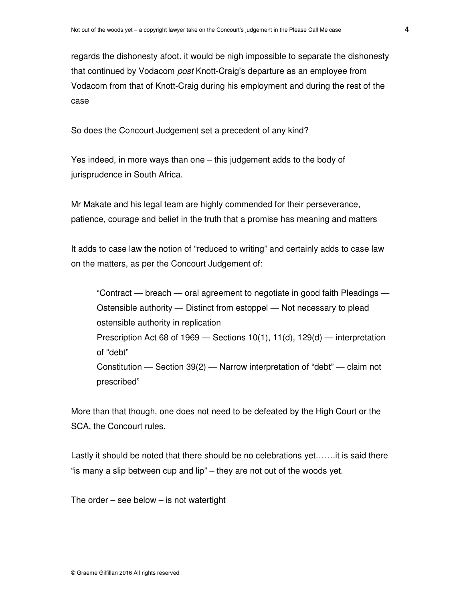regards the dishonesty afoot. it would be nigh impossible to separate the dishonesty that continued by Vodacom *post* Knott-Craig's departure as an employee from Vodacom from that of Knott-Craig during his employment and during the rest of the case

So does the Concourt Judgement set a precedent of any kind?

Yes indeed, in more ways than one – this judgement adds to the body of jurisprudence in South Africa.

Mr Makate and his legal team are highly commended for their perseverance, patience, courage and belief in the truth that a promise has meaning and matters

It adds to case law the notion of "reduced to writing" and certainly adds to case law on the matters, as per the Concourt Judgement of:

"Contract — breach — oral agreement to negotiate in good faith Pleadings — Ostensible authority — Distinct from estoppel — Not necessary to plead ostensible authority in replication Prescription Act 68 of 1969 — Sections 10(1), 11(d), 129(d) — interpretation of "debt" Constitution — Section 39(2) — Narrow interpretation of "debt" — claim not prescribed"

More than that though, one does not need to be defeated by the High Court or the SCA, the Concourt rules.

Lastly it should be noted that there should be no celebrations yet…….it is said there "is many a slip between cup and lip" – they are not out of the woods yet.

The order – see below – is not watertight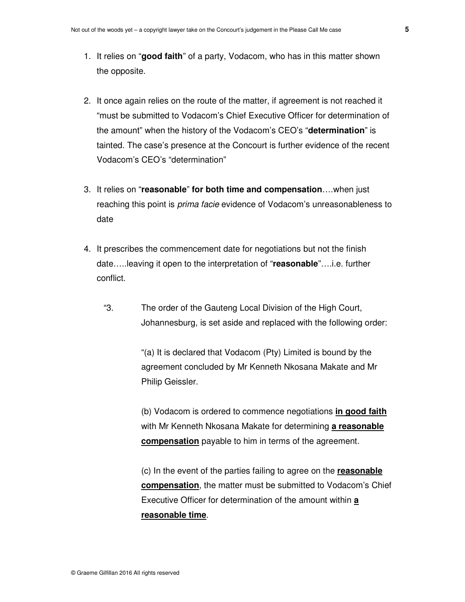- 1. It relies on "**good faith**" of a party, Vodacom, who has in this matter shown the opposite.
- 2. It once again relies on the route of the matter, if agreement is not reached it "must be submitted to Vodacom's Chief Executive Officer for determination of the amount" when the history of the Vodacom's CEO's "**determination**" is tainted. The case's presence at the Concourt is further evidence of the recent Vodacom's CEO's "determination"
- 3. It relies on "**reasonable**" **for both time and compensation**….when just reaching this point is prima facie evidence of Vodacom's unreasonableness to date
- 4. It prescribes the commencement date for negotiations but not the finish date…..leaving it open to the interpretation of "**reasonable**"….i.e. further conflict.
	- "3. The order of the Gauteng Local Division of the High Court, Johannesburg, is set aside and replaced with the following order:

"(a) It is declared that Vodacom (Pty) Limited is bound by the agreement concluded by Mr Kenneth Nkosana Makate and Mr Philip Geissler.

(b) Vodacom is ordered to commence negotiations **in good faith** with Mr Kenneth Nkosana Makate for determining **a reasonable compensation** payable to him in terms of the agreement.

(c) In the event of the parties failing to agree on the **reasonable compensation**, the matter must be submitted to Vodacom's Chief Executive Officer for determination of the amount within **a reasonable time**.